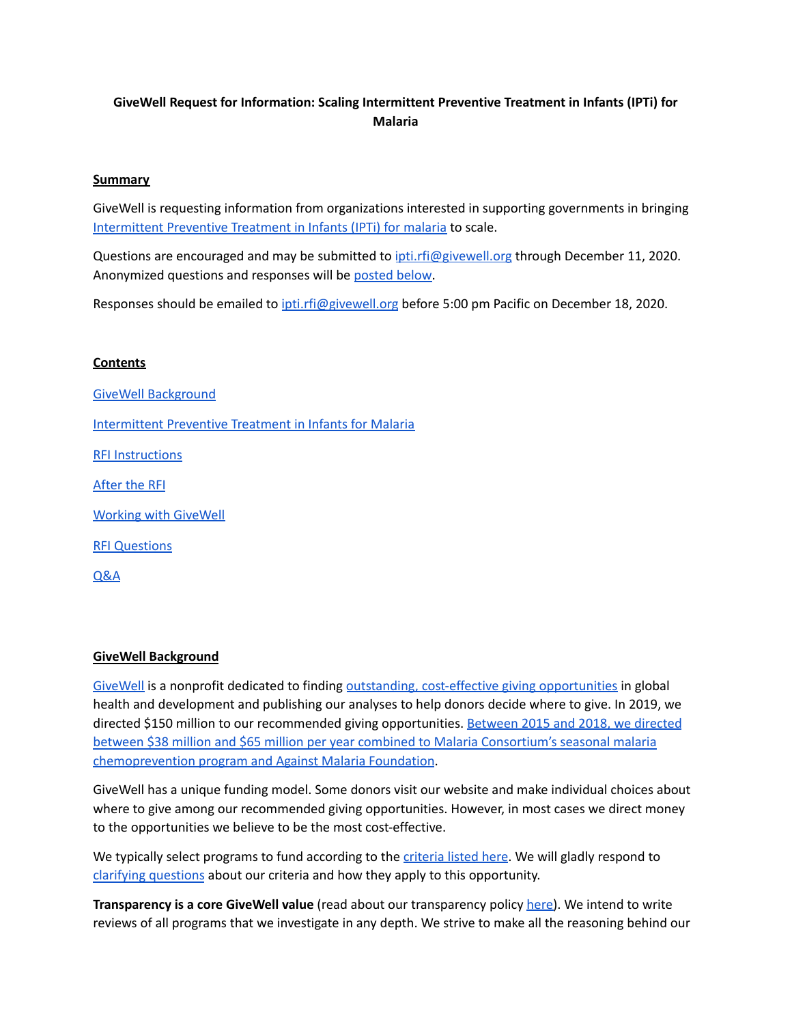## **GiveWell Request for Information: Scaling Intermittent Preventive Treatment in Infants (IPTi) for Malaria**

#### **Summary**

GiveWell is requesting information from organizations interested in supporting governments in bringing [Intermittent](https://www.givewell.org/international/technical/programs/IPTi) Preventive Treatment in Infants (IPTi) for malaria to scale.

Questions are encouraged and may be submitted to *[ipti.rfi@givewell.org](mailto:ipti.rfi@givewell.org)* through December 11, 2020. Anonymized questions and responses will be [posted](#page-6-0) below.

Responses should be emailed to [ipti.rfi@givewell.org](mailto:ipti.rfi@givewell.org) before 5:00 pm Pacific on December 18, 2020.

#### **Contents**

GiveWell [Background](#page-0-0) [Intermittent](#page-1-0) Preventive Treatment in Infants for Malaria RFI [Instructions](#page-1-1) [After](#page-2-0) the RFI Working with [GiveWell](#page-3-0) RFI [Questions](#page-4-0) [Q&A](#page-6-0)

#### <span id="page-0-0"></span>**GiveWell Background**

[GiveWell](https://www.givewell.org/) is a nonprofit dedicated to finding outstanding, cost-effective giving [opportunities](https://www.givewell.org/how-we-work/criteria) in global health and development and publishing our analyses to help donors decide where to give. In 2019, we directed \$150 million to our recommended giving opportunities. [Between](https://www.givewell.org/about/impact) 2015 and 2018, we directed between \$38 million and \$65 million per year combined to Malaria [Consortium's](https://www.givewell.org/about/impact) seasonal malaria [chemoprevention](https://www.givewell.org/about/impact) program and Against Malaria Foundation.

GiveWell has a unique funding model. Some donors visit our website and make individual choices about where to give among our recommended giving opportunities. However, in most cases we direct money to the opportunities we believe to be the most cost-effective.

We typically select programs to fund according to the [criteria](https://www.givewell.org/how-we-work/criteria#Criteria) listed here. We will gladly respond to clarifying [questions](#page-6-0) about our criteria and how they apply to this opportunity.

**Transparency is a core GiveWell value** (read about our transparency policy [here\)](https://www.givewell.org/how-we-work/transparency). We intend to write reviews of all programs that we investigate in any depth. We strive to make all the reasoning behind our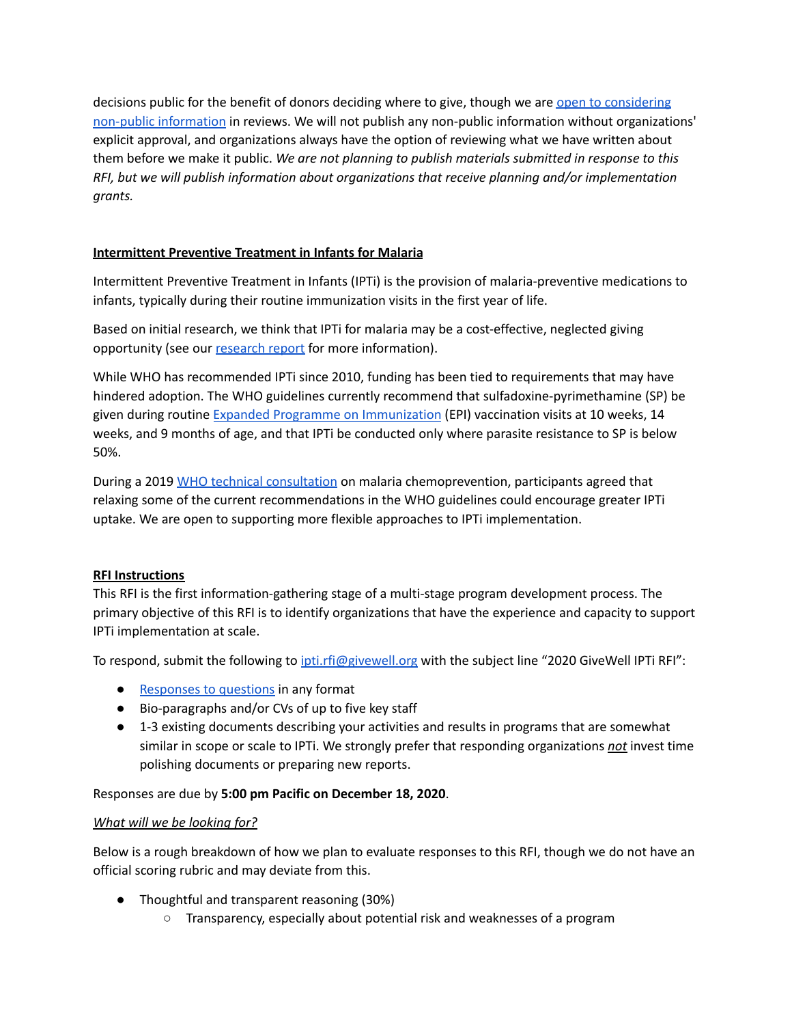decisions public for the benefit of donors deciding where to give, though we are open to [considering](https://www.givewell.org/charity-application-process#confidentiality) non-public [information](https://www.givewell.org/charity-application-process#confidentiality) in reviews. We will not publish any non-public information without organizations' explicit approval, and organizations always have the option of reviewing what we have written about them before we make it public. *We are not planning to publish materials submitted in response to this RFI, but we will publish information about organizations that receive planning and/or implementation grants.*

## <span id="page-1-0"></span>**Intermittent Preventive Treatment in Infants for Malaria**

Intermittent Preventive Treatment in Infants (IPTi) is the provision of malaria-preventive medications to infants, typically during their routine immunization visits in the first year of life.

Based on initial research, we think that IPTi for malaria may be a cost-effective, neglected giving opportunity (see our [research](https://www.givewell.org/international/technical/programs/IPTi) report for more information).

While WHO has recommended IPTi since 2010, funding has been tied to requirements that may have hindered adoption. The WHO guidelines currently recommend that sulfadoxine-pyrimethamine (SP) be given during routine Expanded Programme on [Immunization](https://www.who.int/immunization/programmes_systems/supply_chain/benefits_of_immunization/en/) (EPI) vaccination visits at 10 weeks, 14 weeks, and 9 months of age, and that IPTi be conducted only where parasite resistance to SP is below 50%.

During a 2019 WHO technical [consultation](https://www.who.int/malaria/mpac/mpac-may2020-session5-chemoprevention-meeting-report.pdf) on malaria chemoprevention, participants agreed that relaxing some of the current recommendations in the WHO guidelines could encourage greater IPTi uptake. We are open to supporting more flexible approaches to IPTi implementation.

#### <span id="page-1-1"></span>**RFI Instructions**

This RFI is the first information-gathering stage of a multi-stage program development process. The primary objective of this RFI is to identify organizations that have the experience and capacity to support IPTi implementation at scale.

To respond, submit the following to [ipti.rfi@givewell.org](mailto:ipti.rfi@givewell.org) with the subject line "2020 GiveWell IPTi RFI":

- [Responses](#page-4-0) to questions in any format
- Bio-paragraphs and/or CVs of up to five key staff
- 1-3 existing documents describing your activities and results in programs that are somewhat similar in scope or scale to IPTi. We strongly prefer that responding organizations *not* invest time polishing documents or preparing new reports.

#### Responses are due by **5:00 pm Pacific on December 18, 2020**.

#### *What will we be looking for?*

Below is a rough breakdown of how we plan to evaluate responses to this RFI, though we do not have an official scoring rubric and may deviate from this.

- Thoughtful and transparent reasoning (30%)
	- Transparency, especially about potential risk and weaknesses of a program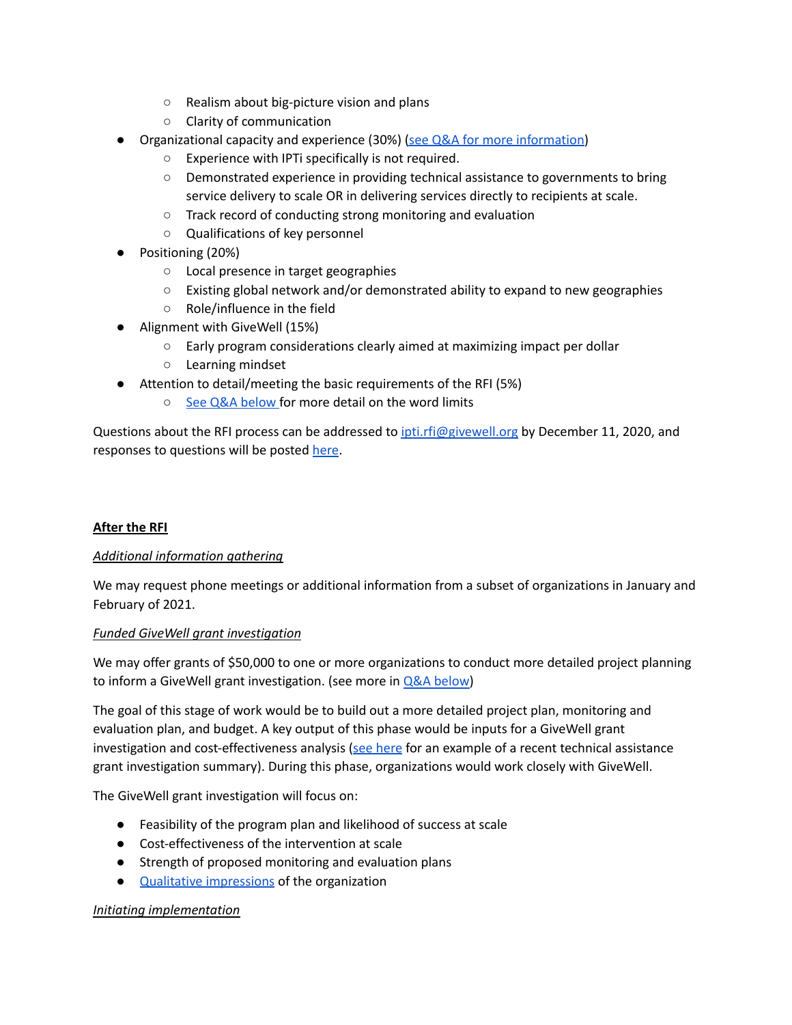- Realism about big-picture vision and plans
- Clarity of communication
- Organizational capacity and experience (30%) (see Q&A for more [information\)](#page-6-1)
	- Experience with IPTi specifically is not required.
	- Demonstrated experience in providing technical assistance to governments to bring service delivery to scale OR in delivering services directly to recipients at scale.
	- Track record of conducting strong monitoring and evaluation
	- Qualifications of key personnel
- Positioning (20%)
	- Local presence in target geographies
	- $\circ$  Existing global network and/or demonstrated ability to expand to new geographies
	- Role/influence in the field
- Alignment with GiveWell (15%)
	- Early program considerations clearly aimed at maximizing impact per dollar
	- Learning mindset
- Attention to detail/meeting the basic requirements of the RFI (5%)
	- See Q&A [below](#page-8-0) for more detail on the word limits

Questions about the RFI process can be addressed to *[ipti.rfi@givewell.org](mailto:ipti.rfi@givewell.org)* by December 11, 2020, and responses to questions will be posted [here](#page-6-0).

## <span id="page-2-0"></span>**After the RFI**

#### *Additional information gathering*

We may request phone meetings or additional information from a subset of organizations in January and February of 2021.

#### *Funded GiveWell grant investigation*

We may offer grants of \$50,000 to one or more organizations to conduct more detailed project planning to inform a GiveWell grant investigation. (see more in **Q&A** [below](#page-6-2))

The goal of this stage of work would be to build out a more detailed project plan, monitoring and evaluation plan, and budget. A key output of this phase would be inputs for a GiveWell grant investigation and cost-effectiveness analysis ( $\frac{see \, here}{see \, here}$  $\frac{see \, here}{see \, here}$  $\frac{see \, here}{see \, here}$  for an example of a recent technical assistance grant investigation summary). During this phase, organizations would work closely with GiveWell.

The GiveWell grant investigation will focus on:

- Feasibility of the program plan and likelihood of success at scale
- Cost-effectiveness of the intervention at scale
- Strength of proposed monitoring and evaluation plans
- Qualitative [impressions](https://www.givewell.org/charities/top-charities/2019/qualitative-assessments#Qualitative_assessments_of_top_charities) of the organization

#### *Initiating implementation*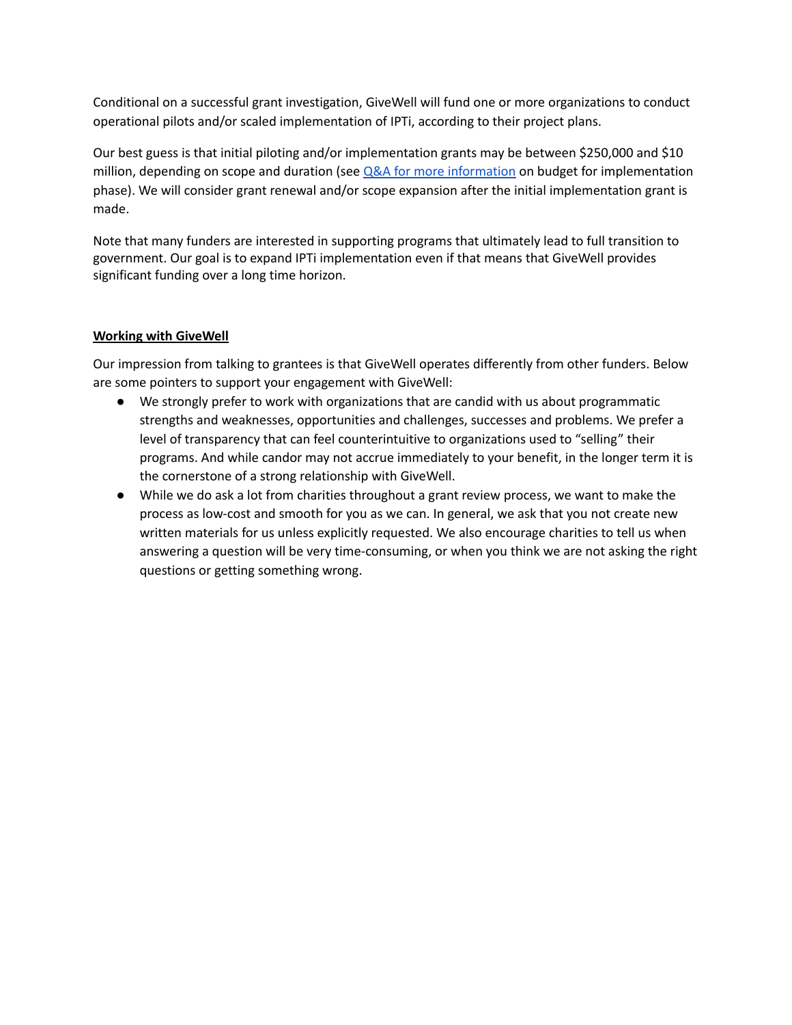Conditional on a successful grant investigation, GiveWell will fund one or more organizations to conduct operational pilots and/or scaled implementation of IPTi, according to their project plans.

Our best guess is that initial piloting and/or implementation grants may be between \$250,000 and \$10 million, depending on scope and duration (see  $Q&A$  for more [information](#page-6-3) on budget for implementation phase). We will consider grant renewal and/or scope expansion after the initial implementation grant is made.

Note that many funders are interested in supporting programs that ultimately lead to full transition to government. Our goal is to expand IPTi implementation even if that means that GiveWell provides significant funding over a long time horizon.

## <span id="page-3-0"></span>**Working with GiveWell**

Our impression from talking to grantees is that GiveWell operates differently from other funders. Below are some pointers to support your engagement with GiveWell:

- We strongly prefer to work with organizations that are candid with us about programmatic strengths and weaknesses, opportunities and challenges, successes and problems. We prefer a level of transparency that can feel counterintuitive to organizations used to "selling" their programs. And while candor may not accrue immediately to your benefit, in the longer term it is the cornerstone of a strong relationship with GiveWell.
- While we do ask a lot from charities throughout a grant review process, we want to make the process as low-cost and smooth for you as we can. In general, we ask that you not create new written materials for us unless explicitly requested. We also encourage charities to tell us when answering a question will be very time-consuming, or when you think we are not asking the right questions or getting something wrong.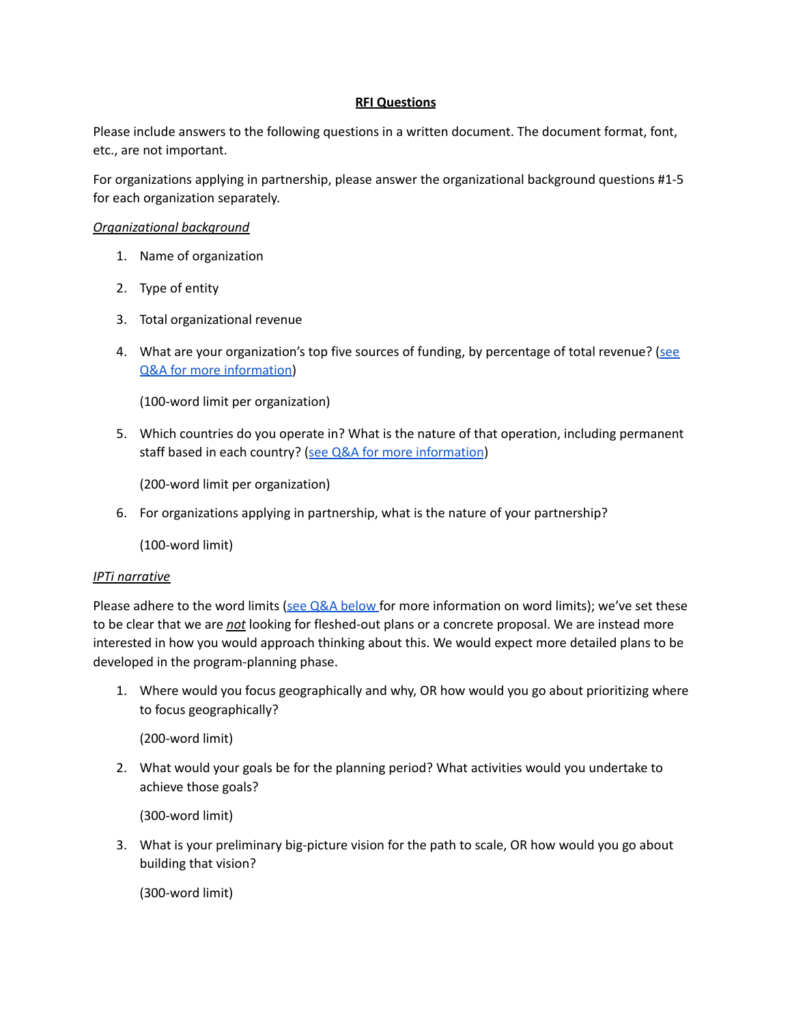#### **RFI Questions**

<span id="page-4-0"></span>Please include answers to the following questions in a written document. The document format, font, etc., are not important.

For organizations applying in partnership, please answer the organizational background questions #1-5 for each organization separately.

## *Organizational background*

- 1. Name of organization
- 2. Type of entity
- 3. Total organizational revenue
- 4. What are your organization's top five sources of funding, by percentage of total revenue? [\(see](#page-6-4) Q&A for more [information\)](#page-6-4)

(100-word limit per organization)

5. Which countries do you operate in? What is the nature of that operation, including permanent staff based in each country? (see Q&A for more [information](#page-6-5))

(200-word limit per organization)

6. For organizations applying in partnership, what is the nature of your partnership?

(100-word limit)

#### *IPTi narrative*

Please adhere to the word limits (see Q&A [below](#page-8-0) for more information on word limits); we've set these to be clear that we are *not* looking for fleshed-out plans or a concrete proposal. We are instead more interested in how you would approach thinking about this. We would expect more detailed plans to be developed in the program-planning phase.

1. Where would you focus geographically and why, OR how would you go about prioritizing where to focus geographically?

(200-word limit)

2. What would your goals be for the planning period? What activities would you undertake to achieve those goals?

(300-word limit)

3. What is your preliminary big-picture vision for the path to scale, OR how would you go about building that vision?

(300-word limit)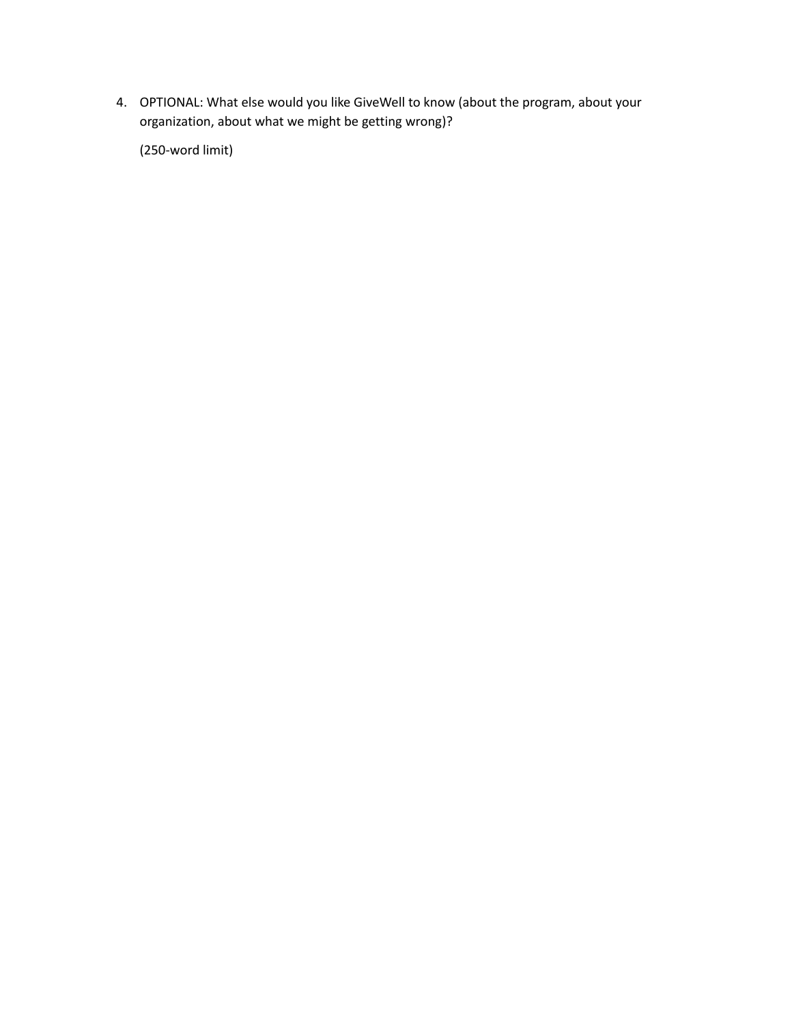4. OPTIONAL: What else would you like GiveWell to know (about the program, about your organization, about what we might be getting wrong)?

(250-word limit)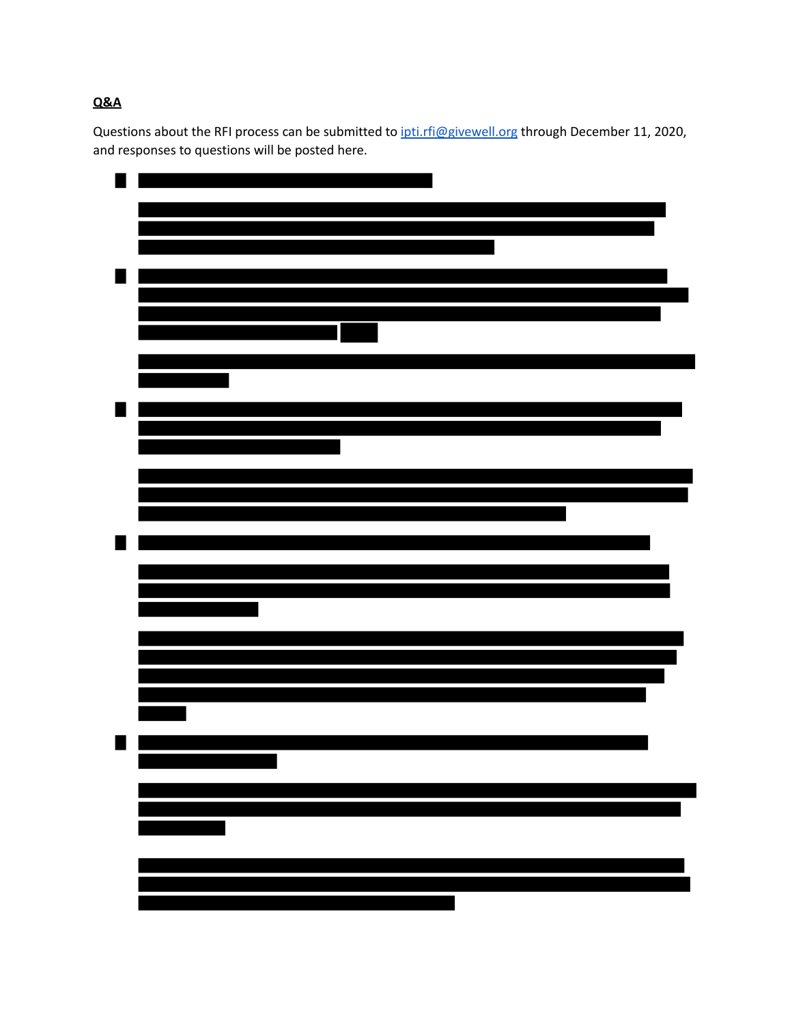# <span id="page-6-0"></span>**Q&A**

Questions about the RFI process can be submitted to *[ipti.rfi@givewell.org](mailto:ipti.rfi@givewell.org)* through December 11, 2020, and responses to questions will be posted here.

<span id="page-6-5"></span><span id="page-6-4"></span><span id="page-6-3"></span><span id="page-6-2"></span><span id="page-6-1"></span>